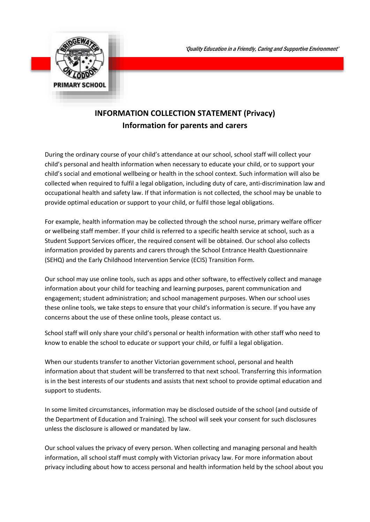

## **INFORMATION COLLECTION STATEMENT (Privacy) Information for parents and carers**

During the ordinary course of your child's attendance at our school, school staff will collect your child's personal and health information when necessary to educate your child, or to support your child's social and emotional wellbeing or health in the school context. Such information will also be collected when required to fulfil a legal obligation, including duty of care, anti-discrimination law and occupational health and safety law. If that information is not collected, the school may be unable to provide optimal education or support to your child, or fulfil those legal obligations.

For example, health information may be collected through the school nurse, primary welfare officer or wellbeing staff member. If your child is referred to a specific health service at school, such as a Student Support Services officer, the required consent will be obtained. Our school also collects information provided by parents and carers through the School Entrance Health Questionnaire (SEHQ) and the Early Childhood Intervention Service (ECIS) Transition Form.

Our school may use online tools, such as apps and other software, to effectively collect and manage information about your child for teaching and learning purposes, parent communication and engagement; student administration; and school management purposes. When our school uses these online tools, we take steps to ensure that your child's information is secure. If you have any concerns about the use of these online tools, please contact us.

School staff will only share your child's personal or health information with other staff who need to know to enable the school to educate or support your child, or fulfil a legal obligation.

When our students transfer to another Victorian government school, personal and health information about that student will be transferred to that next school. Transferring this information is in the best interests of our students and assists that next school to provide optimal education and support to students.

In some limited circumstances, information may be disclosed outside of the school (and outside of the Department of Education and Training). The school will seek your consent for such disclosures unless the disclosure is allowed or mandated by law.

Our school values the privacy of every person. When collecting and managing personal and health information, all school staff must comply with Victorian privacy law. For more information about privacy including about how to access personal and health information held by the school about you